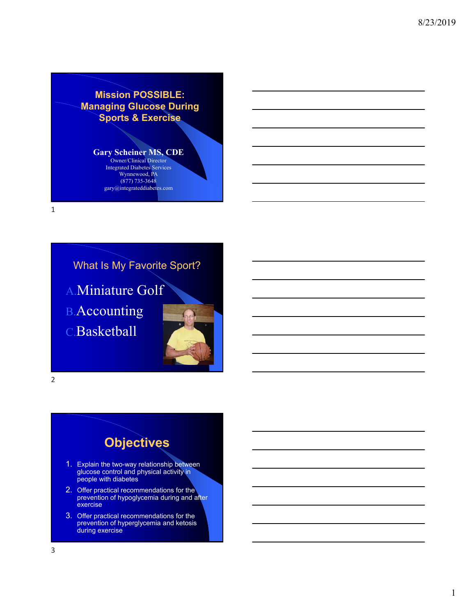**Mission POSSIBLE: Managing Glucose During Sports & Exercise**

### **Gary Scheiner MS, CDE**

Owner/Clinical Director Integrated Diabetes Services Wynnewood, PA (877) 735-3648 gary@integrateddiabetes.com

1

2

## What Is My Favorite Sport?

A.Miniature Golf

B.Accounting

C.Basketball

# **Objectives**

- 1. Explain the two-way relationship between glucose control and physical activity in people with diabetes
- 2. Offer practical recommendations for the prevention of hypoglycemia during and after exercise
- 3. Offer practical recommendations for the prevention of hyperglycemia and ketosis during exercise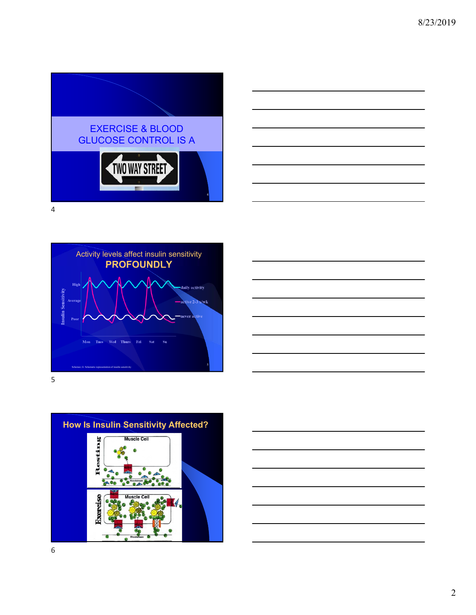







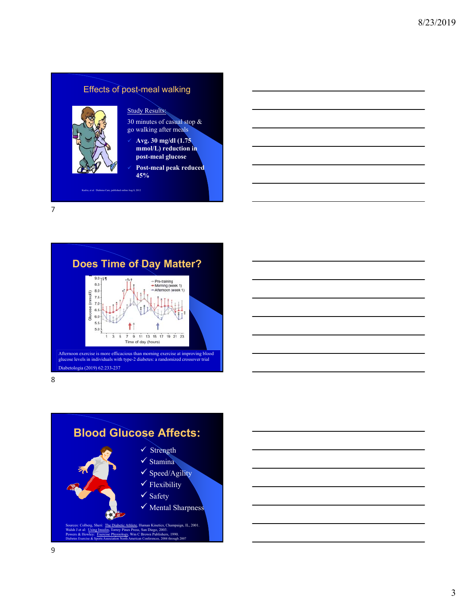### Effects of post-meal walking



### Study Results:

30 minutes of casual stop & go walking after meals

- **Avg. 30 mg/dl (1.75 mmol/L) reduction in post-meal glucose**
- **Post-meal peak reduced 45%**

Kudva, et al. Diabetes Care, published online Aug 8, 2012

7



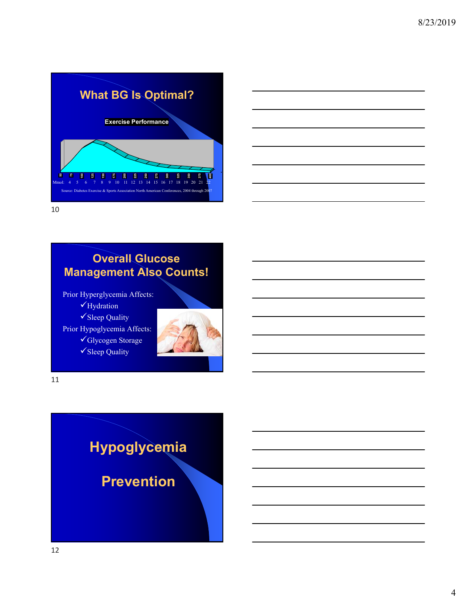



## **Overall Glucose Management Also Counts!**

Prior Hyperglycemia Affects: Hydration

Sleep Quality

Prior Hypoglycemia Affects:

Glycogen Storage

Sleep Quality



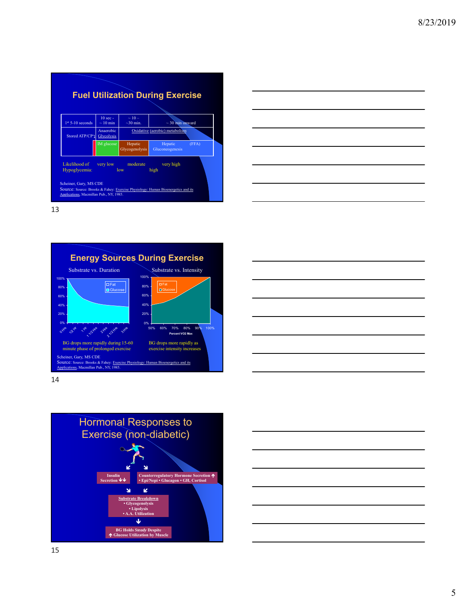









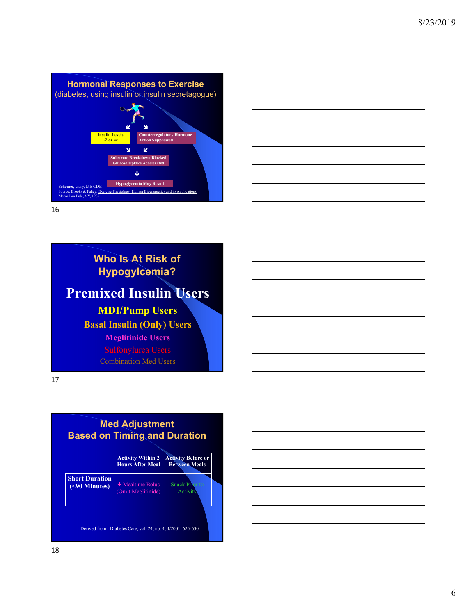**Hormonal Responses to Exercise** (diabetes, using insulin or insulin secretagogue) **R** 2 **Insulin Levels or nterregulatory Horm Action Suppressed**  $\mathbf{u} = \mathbf{z}$ **Substrate Breakdown Blocked e Uptake Accelera**  $\mathbf{L}$ **Hypoglycemia May Result**<br>
Source: Brooks & Fahev: Exercise Physiology: Human Bioenergetic Source: Brooks & Fahey: Exercise Physiology: Human Bioenergetics and its Applications, Macmillan Pub., NY, 1985.



16

# **Who Is At Risk of Hypogylcemia? Premixed Insulin Users MDI/Pump Users Basal Insulin (Only) Users Meglitinide Users** Combination Med Users



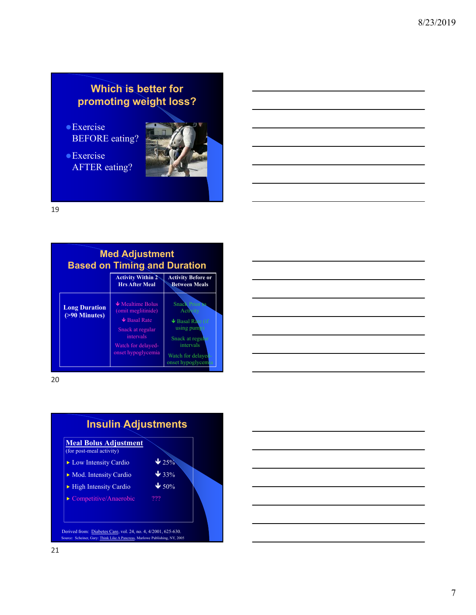## **Which is better for promoting weight loss?**

- Exercise BEFORE eating?
- Exercise AFTER eating?



19



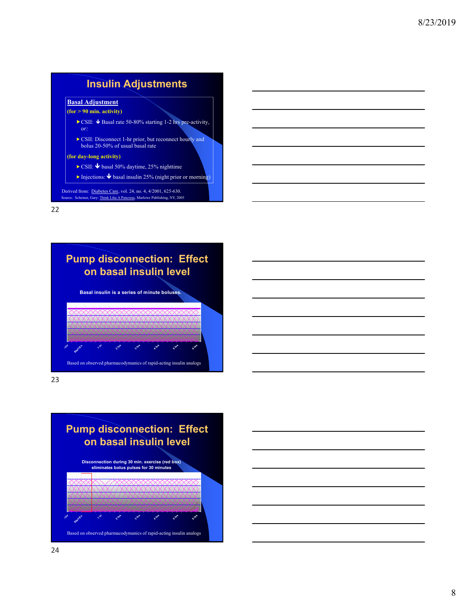### **Insulin Adjustments**

### **Basal Adjustment**

## **(for > 90 min. activity)**

- CSII:  $\blacklozenge$  Basal rate 50-80% starting 1-2 hrs pre-activity, *or:*
- CSII: Disconnect 1-hr prior, but reconnect hourly and bolus 20-50% of usual basal rate

#### **(for day-long activity)**

- $\triangleright$  CSII:  $\blacklozenge$  basal 50% daytime, 25% nighttime
- Injections:  $\blacklozenge$  basal insulin 25% (night prior or morning)

Source: Scheiner, Gary: Think Like A Pancreas, Marlowe Publishing, NY, 2005 Derived from: Diabetes Care, vol. 24, no. 4, 4/2001, 625-630.

22



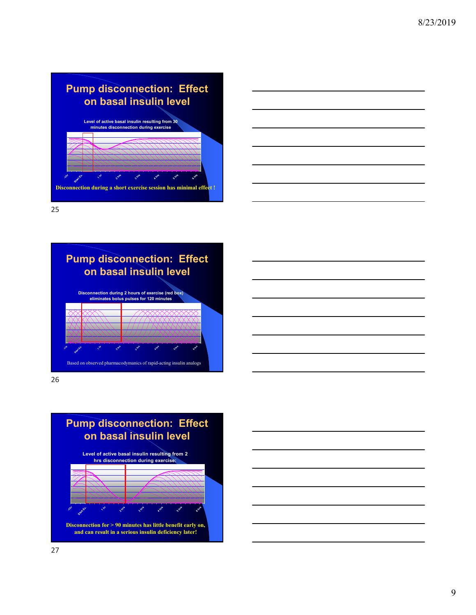





26



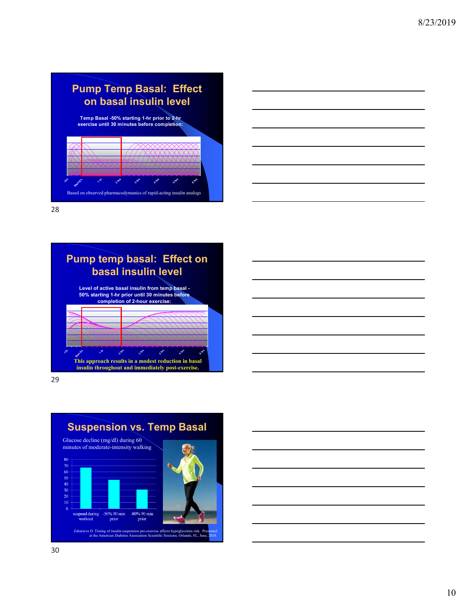### **Pump Temp Basal: Effect on basal insulin level Temp Basal -50% starting 1-hr prior to 2-hr exercise until 30 minutes before completion: -1hr** Start Ex. **1 hr 218 3 hrs 4 hrs 5 hrs 6 hrs** Based on observed pharmacodymanics of rapid-acting insulin analogs



28



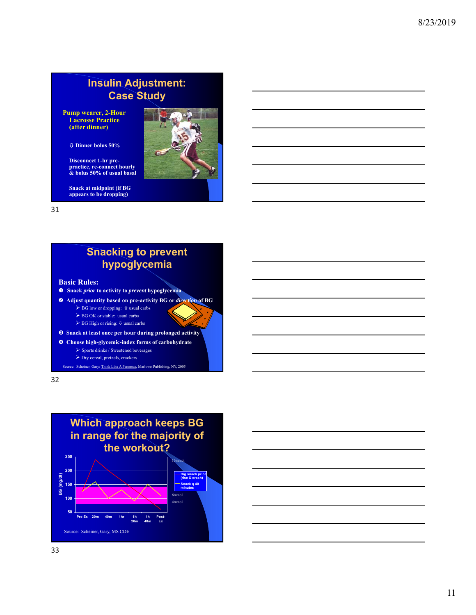## **Insulin Adjustment: Case Study**

**Pump wearer, 2-Hour Lacrosse Practice (after dinner)**

**Dinner bolus 50%**

**Disconnect 1-hr prepractice, re-connect hourly & bolus 50% of usual basal**

**Snack at midpoint (if BG appears to be dropping)**



31

## **Snacking to prevent hypoglycemia**

**Basic Rules:**

- **Snack** *prior* **to activity to** *prevent* **hypoglycemia**
- **Adjust quantity based on pre-activity BG or** *direction* **of BG**
	- $\blacktriangleright$  BG low or dropping:  $\textcolor{black} \texttt{\textbackslash}$  usual carbs
	- BG OK or stable: usual carbs
	- $\blacktriangleright$  BG High or rising:  $\uplus$  usual carbs
- **Snack at least once per hour during prolonged activity**
- **Choose high-glycemic-index forms of carbohydrate**
	- $\triangleright$  Sports drinks / Sweetened beverages
	- $\blacktriangleright$  Dry cereal, pretzels, crackers

Source: Scheiner, Gary: Think Like A Pancreas, Marlowe Publishing, NY, 2005

32



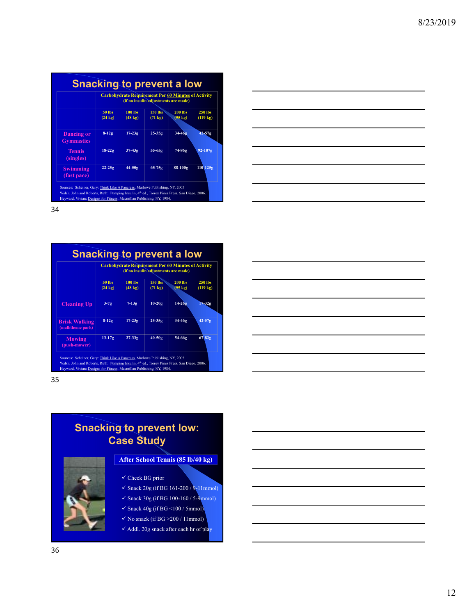|                                        | <b>Carbohydrate Requirement Per 60 Minutes of Activity</b><br>(if no insulin adjustments are made) |                                     |                                |                                     |                               |  |  |
|----------------------------------------|----------------------------------------------------------------------------------------------------|-------------------------------------|--------------------------------|-------------------------------------|-------------------------------|--|--|
|                                        | 50 lbs<br>$(24 \text{ kg})$                                                                        | <b>100 lbs</b><br>$(48 \text{ kg})$ | $150$ lbs<br>$(71 \text{ kg})$ | <b>200 lbs</b><br>$(95 \text{ kg})$ | 250 lbs<br>$(119 \text{ kg})$ |  |  |
| <b>Dancing or</b><br><b>Gymnastics</b> | $8-12g$                                                                                            | $17-23g$                            | $25 - 35g$                     | $34 - 469$                          | $42 - 57g$                    |  |  |
| <b>Tennis</b><br>(singles)             | $18-22g$                                                                                           | $37-43g$                            | 55-65g                         | 74-86g                              | $92 - 107g$                   |  |  |
| <b>Swimming</b><br>(fast pace)         | $22 - 25g$                                                                                         | 44-50g                              | $65 - 75g$                     | 88-100g                             | $110 - 125g$                  |  |  |

|                                           | <b>Carbohydrate Requirement Per 60 Minutes of Activity</b><br>(if no insulin adjustments are made) |                                     |                                |                                     |                               |  |  |  |
|-------------------------------------------|----------------------------------------------------------------------------------------------------|-------------------------------------|--------------------------------|-------------------------------------|-------------------------------|--|--|--|
|                                           | <b>50 lbs</b><br>$(24 \text{ kg})$                                                                 | <b>100 lbs</b><br>$(48 \text{ kg})$ | $150$ lbs<br>$(71 \text{ kg})$ | <b>200 lbs</b><br>$(95 \text{ kg})$ | 250 lbs<br>$(119 \text{ kg})$ |  |  |  |
| <b>Cleaning Up</b>                        | $3-7g$                                                                                             | $7-13g$                             | $10-20g$                       | $14 - 26g$                          | $17-32g$                      |  |  |  |
| <b>Brisk Walking</b><br>(mall/theme park) | $8-12g$                                                                                            | $17-23g$                            | $25-35g$                       | 34-46g                              | $42 - 57g$                    |  |  |  |
| <b>Mowing</b><br>(push-mower)             | $13-17g$                                                                                           | $27-33g$                            | $40-50g$                       | 54-66g                              | $67 - 82g$                    |  |  |  |

35

### **Snacking to prevent low: Case Study**



**After School Tennis (85 lb/40 kg)**

- $\checkmark$  Check BG prior
- $\checkmark$  Snack 20g (if BG 161-200 / 9-11mmol)
- $\checkmark$  Snack 30g (if BG 100-160 / 5-9mmol)
- $\checkmark$  Snack 40g (if BG <100 / 5mmol)
- $\checkmark$  No snack (if BG >200 / 11mmol)
- $\checkmark$  Addl. 20g snack after each hr of play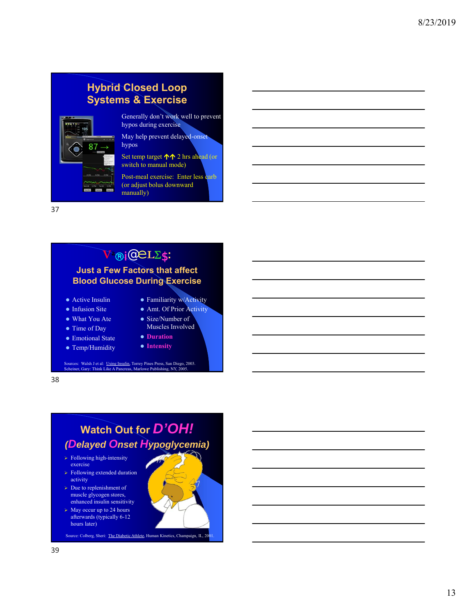## **Hybrid Closed Loop Systems & Exercise**



Generally don't work well to prevent hypos during exercise

May help prevent delayed-onset hypos

Set temp target  $\bigwedge$  2 hrs ahead (or switch to manual mode)

Post-meal exercise: Enter less carb (or adjust bolus downward manually)

37

# **V**<sup>a</sup> i@**L**\$**:**

### **Just a Few Factors that affect Blood Glucose During Exercise**

- Active Insulin
- Infusion Site
- What You Ate
- Time of Day
- Emotional State
- Temp/Humidity
- Muscles Involved **Duration**

• Familiarity w/Activity Amt. Of Prior Activity • Size/Number of

- **Intensity**
- 

Sources: Walsh J et al: <u>Using Insulin,</u> Torrey Pines Press, San Diego, 2003.<br>Scheiner, Gary: <u>Think Like A Pancreas</u>, Marlowe Publishing, NY, 2005.

38

# **Watch Out for** *D'OH! (Delayed Onset Hypoglycemia)*

- $\triangleright$  Following high-intensity exercise
- $\triangleright$  Following extended duration activity
- $\triangleright$  Due to replenishment of muscle glycogen stores, enhanced insulin sensitivity
- $\triangleright$  May occur up to 24 hours afterwards (typically 6-12 hours later)

Source: Colberg, Sheri: The Diabetic Athlete, Human Kinetics, Champaign, IL, 2001.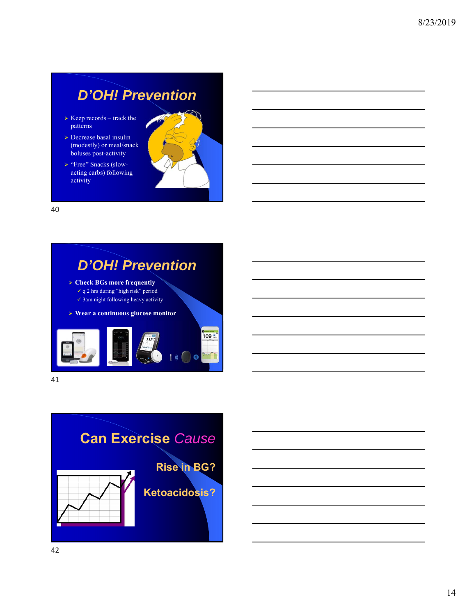# *D'OH! Prevention*

- $\triangleright$  Keep records track the patterns
- Decrease basal insulin (modestly) or meal/snack boluses post-activity
- > "Free" Snacks (slowacting carbs) following activity



40

# *D'OH! Prevention*

- **Check BGs more frequently**
	- $\checkmark$  q 2 hrs during "high risk" period
	- $\checkmark$  3am night following heavy activity
- **Wear a continuous glucose monitor**





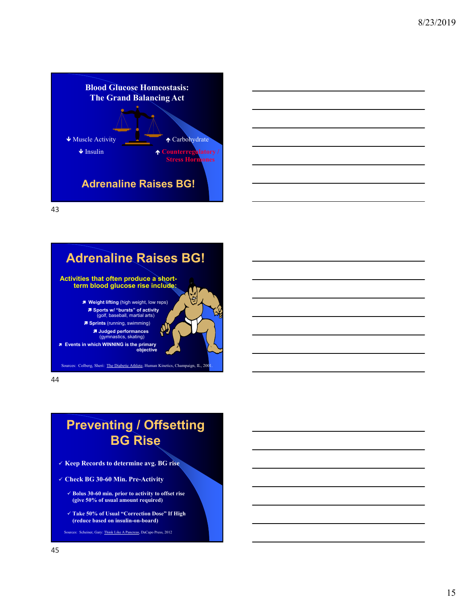





# **Preventing / Offsetting BG Rise**

- **Keep Records to determine avg. BG rise**
- **Check BG 30-60 Min. Pre-Activity**
	- **Bolus 30-60 min. prior to activity to offset rise (give 50% of usual amount required)**
	- **Take 50% of Usual "Correction Dose" If High (reduce based on insulin-on-board)**

es: Scheiner, Gary: Think Like A Pancreas, DaCapo Press, 2012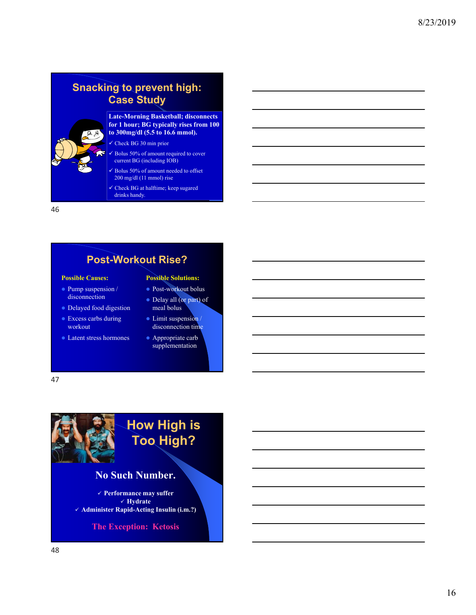## **Snacking to prevent high: Case Study**



#### **Late-Morning Basketball; disconnects for 1 hour; BG typically rises from 100 to 300mg/dl (5.5 to 16.6 mmol).**

- Check BG 30 min prior
- Bolus 50% of amount required to cover current BG (including IOB)
- Bolus 50% of amount needed to offset 200 mg/dl (11 mmol) rise
- Check BG at halftime; keep sugared drinks handy.

46

### **Post-Workout Rise?**

#### **Possible Causes:**

- Pump suspension / disconnection
- Delayed food digestion
- **Excess carbs during** workout
- Latent stress hormones

### **Possible Solutions:**

- Post-workout bolus
- Delay all (or part) of meal bolus
- $\bullet$  Limit suspension / disconnection time
- **•** Appropriate carb supplementation

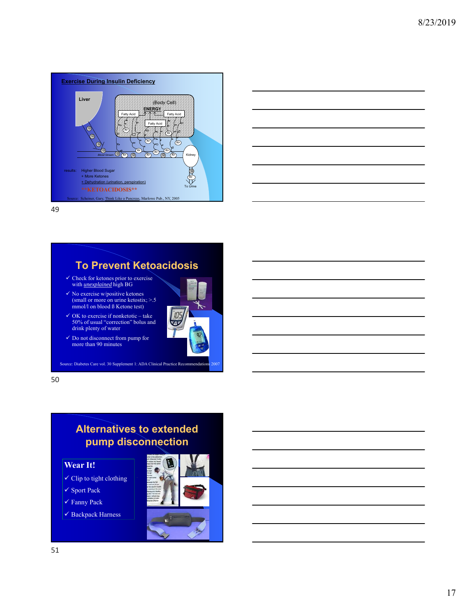



### **To Prevent Ketoacidosis**

- Check for ketones prior to exercise with *unexplained* high BG
- $\checkmark$  No exercise w/positive ketones (small or more on urine ketostix; >.5 mmol/l on blood ß Ketone test)
- OK to exercise if nonketotic take 50% of usual "correction" bolus and drink plenty of water
- Do not disconnect from pump for more than 90 minutes

Source: Diabetes Care vol. 30 Supplement 1: ADA Clinical Practice Recommendations

50

## **Alternatives to extended pump disconnection**

### **Wear It!**

- $\checkmark$  Clip to tight clothing
- $\checkmark$ Sport Pack
- Fanny Pack
- $\checkmark$  Backpack Harness



 $105$ **VSP** 

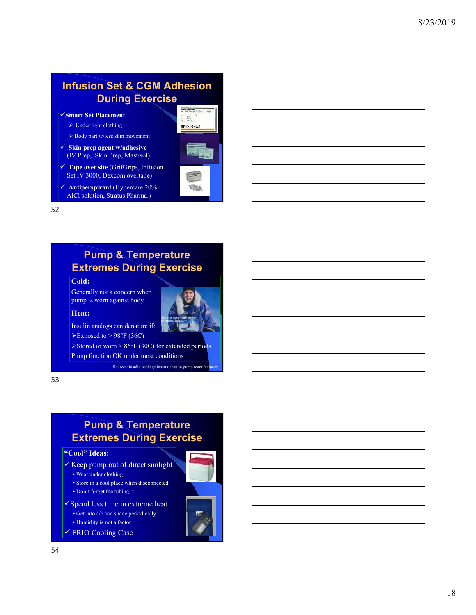## **Infusion Set & CGM Adhesion During Exercise**

- **Smart Set Placement**
	- $\triangleright$  Under tight clothing
	- $\blacktriangleright$  Body part w/less skin movement
- **Skin prep agent w/adhesive**  (IV Prep, Skin Prep, Mastisol)
- **Tape over site** (GrifGrips, Infusion Set IV 3000, Dexcom overtape)
- **Antiperspirant** (Hypercare 20% AlCl solution, Stratus Pharma.)



52

### **Pump & Temperature Extremes During Exercise**

#### **Cold:**

Generally not a concern when pump is worn against body

#### **Heat:**



Insulin analogs can denature if:  $\blacktriangleright$  Exposed to  $>$  98°F (36C)

 $\blacktriangleright$  Stored or worn  $> 86^\circ$ F (30C) for extended periods Pump function OK under most conditions

Sources: insulin package inserts, insulin pump manufacturers:

53

### **Pump & Temperature Extremes During Exercise**

#### **"Cool" Ideas:**

- $\checkmark$  Keep pump out of direct sunlight
	- Wear under clothing
	- Store in a cool place when disconnected
	- Don't forget the tubing!!!
- $\checkmark$  Spend less time in extreme heat
	- Get into a/c and shade periodically
	- Humidity is not a factor
- FRIO Cooling Case